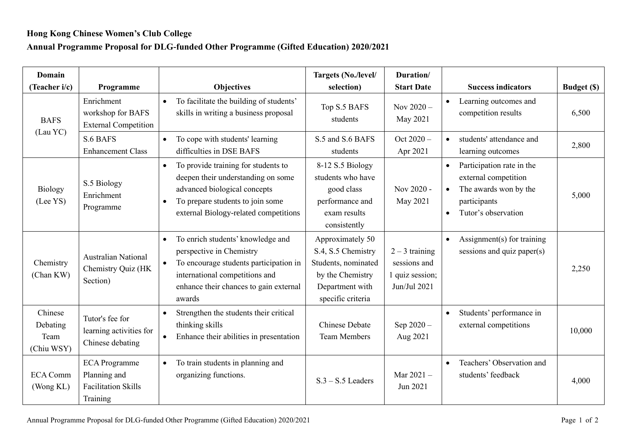## **Hong Kong Chinese Women's Club College**

## **Annual Programme Proposal for DLG-funded Other Programme (Gifted Education) 2020/2021**

| Domain<br>(Teacher i/c)                   | Programme                                                                      | <b>Objectives</b>                                                                                                                                                                                                       | Targets (No./level/<br>selection)                                                                                         | Duration/<br><b>Start Date</b>                                      | <b>Success indicators</b>                                                                                                                                | <b>Budget</b> (\$) |
|-------------------------------------------|--------------------------------------------------------------------------------|-------------------------------------------------------------------------------------------------------------------------------------------------------------------------------------------------------------------------|---------------------------------------------------------------------------------------------------------------------------|---------------------------------------------------------------------|----------------------------------------------------------------------------------------------------------------------------------------------------------|--------------------|
| <b>BAFS</b><br>(Lau YC)                   | Enrichment<br>workshop for BAFS<br><b>External Competition</b>                 | To facilitate the building of students'<br>$\bullet$<br>skills in writing a business proposal                                                                                                                           | Top S.5 BAFS<br>students                                                                                                  | Nov $2020 -$<br>May 2021                                            | Learning outcomes and<br>competition results                                                                                                             | 6,500              |
|                                           | S.6 BAFS<br><b>Enhancement Class</b>                                           | To cope with students' learning<br>$\bullet$<br>difficulties in DSE BAFS                                                                                                                                                | S.5 and S.6 BAFS<br>students                                                                                              | Oct $2020 -$<br>Apr 2021                                            | students' attendance and<br>learning outcomes                                                                                                            | 2,800              |
| Biology<br>(Lee YS)                       | S.5 Biology<br>Enrichment<br>Programme                                         | To provide training for students to<br>$\bullet$<br>deepen their understanding on some<br>advanced biological concepts<br>To prepare students to join some<br>$\bullet$<br>external Biology-related competitions        | 8-12 S.5 Biology<br>students who have<br>good class<br>performance and<br>exam results<br>consistently                    | Nov 2020 -<br>May 2021                                              | Participation rate in the<br>$\bullet$<br>external competition<br>The awards won by the<br>$\bullet$<br>participants<br>Tutor's observation<br>$\bullet$ | 5,000              |
| Chemistry<br>(Chan KW)                    | <b>Australian National</b><br>Chemistry Quiz (HK<br>Section)                   | To enrich students' knowledge and<br>$\bullet$<br>perspective in Chemistry<br>To encourage students participation in<br>$\bullet$<br>international competitions and<br>enhance their chances to gain external<br>awards | Approximately 50<br>S.4, S.5 Chemistry<br>Students, nominated<br>by the Chemistry<br>Department with<br>specific criteria | $2 - 3$ training<br>sessions and<br>1 quiz session;<br>Jun/Jul 2021 | Assignment(s) for training<br>$\bullet$<br>sessions and quiz paper $(s)$                                                                                 | 2,250              |
| Chinese<br>Debating<br>Team<br>(Chiu WSY) | Tutor's fee for<br>learning activities for<br>Chinese debating                 | Strengthen the students their critical<br>$\bullet$<br>thinking skills<br>Enhance their abilities in presentation<br>$\bullet$                                                                                          | <b>Chinese Debate</b><br><b>Team Members</b>                                                                              | Sep 2020-<br>Aug 2021                                               | Students' performance in<br>$\bullet$<br>external competitions                                                                                           | 10,000             |
| <b>ECA Comm</b><br>(Wong KL)              | <b>ECA</b> Programme<br>Planning and<br><b>Facilitation Skills</b><br>Training | To train students in planning and<br>$\bullet$<br>organizing functions.                                                                                                                                                 | $S.3 - S.5$ Leaders                                                                                                       | Mar 2021-<br>Jun 2021                                               | Teachers' Observation and<br>$\bullet$<br>students' feedback                                                                                             | 4,000              |